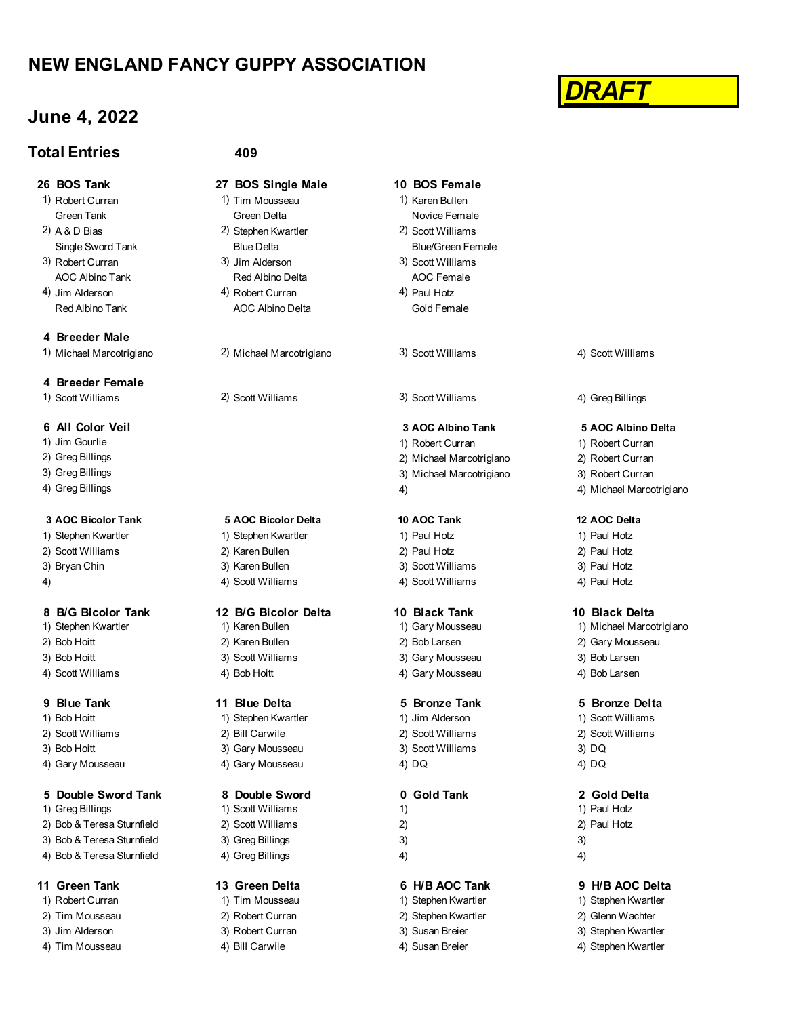# **NEW ENGLAND FANCY GUPPY ASSOCIATION**

# **June 4, 2022**

## **Total Entries**

- 1) Robert Curran 1) Tim Mousseau 1996 1997 11 Raren Bullen
- 2) A & D Bias 2) Stephen Kwartler 2) Scott Williams
- 3) Robert Curran 3) Jim Alderson 3) Scott Williams AOC Albino Tank **Red Albino Delta** AOC Female
- Red Albino Tank **AOC Albino Delta** Gold Female

**4 Breeder Male**

# **4 Breeder Female**

- 
- 
- 
- 

1) Stephen Kwartler 19 Ctephen Kwartler 1, Stephen Kwartler 1, Paul Hotz 1, Paul Hotz 2) Scott Williams 2) Karen Bullen 2) Paul Hotz 2) Paul Hotz

- 3) Bryan Chin 3 (3) Karen Bullen 3) Scott Williams 3) Scott Williams 3) Paul Hotz
- 

- 
- 
- 
- 4) Scott Williams **4** and  $\overline{4}$  Bob Hoitt **4** and  $\overline{4}$  Gary Mousseau 4) Bob Larsen

- 1) Bob Hoitt 1) Stephen Kwartler 19 (1) Jim Alderson 19 (1) Scott Williams
- 
- 
- 

### **5 Double Sword Tank 8 Double Sword 0 Gold Tank 2 Gold Delta**

- 
- 2) Bob & Teresa Sturnfield 2) Scott Williams 2) 2) Paul Hotz
- 3) Bob & Teresa Sturnfield 3) Greg Billings 3 3)
- 4) Bob & Teresa Sturnfield 4) Greg Billings 4 (4) 4 (4) 4 (4) 4 (4) 4 (4) 4 (4) 4 (4) 4 (4) 4 (4) 4 (4) 4 (4) 4 (4) 4 (4) 4 (4) 4 (4) 4 (4) 4 (4) 4 (4) 4 (4) 4 (4) 4 (4) 4 (4) 4 (4) 4 (4) 4 (4) 4 (4) 4 (4) 4 (4) 4 (4) 4 (4

- 
- 
- 

### **409**

- **26 BOS Tank 27 BOS Single Male 10 BOS Female**
	- Green Tank Green Delta Novice Female
	- Single Sword Tank **Blue Delta** Blue Delta Blue/Green Female
		-
- 4) Jim Alderson (4) Robert Curran (4) Paul Hotz

1) Michael Marcotrigiano 2) Michael Marcotrigiano 3) Scott Williams 4) Scott Williams

### **3 AOC Bicolor Tank 5 AOC Bicolor Delta 10 AOC Tank 12 AOC Delta**

- 
- 4) 49 Scott Williams 4) Scott Williams 4) Scott Williams 49 Paul Hotz

- 
- 
- 
- 

- 2) Scott Williams 2) Bill Carwile 2) Scott Williams 2) Scott Williams
- 4) Gary Mousseau 4) Gary Mousseau 4 and 40 DQ 4 and 4 DQ

- 1) Greg Billings 1) Scott Williams 1) Scott Williams 1) 1) 1) Paul Hotz
	-

### **11 Green Tank 13 Green Delta 6 H/B AOC Tank 9 H/B AOC Delta**

- 1) Robert Curran 1) Tim Mousseau 1) Stephen Kwartler 1) Stephen Kwartler 2) Tim Mousseau 2) Robert Curran 2) Stephen Kwartler 2) Glenn Wachter 3) Jim Alderson 3) Robert Curran 3) Susan Breier 3) Stephen Kwartler
- 4) Tim Mousseau and A Bill Carwile 4 and 4) Susan Breier 4 and 40 Stephen Kwartler

- 
- 
- 
- 

1) Scott Williams 2) Scott Williams 3) Scott Williams 4) Greg Billings

1) Jim Gourlie 2008 10 Nobert Curran 1) Robert Curran 1, Robert Curran 1, Robert Curran 1, Robert Curran 1, Robert Curran 1, Robert Curran 1, Robert Curran 1, Robert Curran 1, Robert Curran 1, Robert Curran 1, Robert Curra 2) Greg Billings 2) Michael Marcotrigiano 2) Robert Curran 3) Greg Billings 3) Michael Marcotrigiano 3) Robert Curran 4) Greg Billings and the second state of the second state of the second state of the second state of the second state of the second state of the second state of the second state of the second state of the second state of t

3) Bob Hoitt 3) Scott Williams 3) Scott Williams 3) Gary Mousseau 3) Bob Larsen

3) Bob Hoitt 3) Gary Mousseau 3) Scott Williams 3) DQ

- 
- 
- 
- 

*DRAFT*

### **6 All Color Veil 3 AOC Albino Tank 5 AOC Albino Delta**

- 
- 
- 

### **8 B/G Bicolor Tank 12 B/G Bicolor Delta 10 Black Tank 10 Black Delta**

- 1) Stephen Kwartler 1) Karen Bullen 1992 (1) Gary Mousseau 1993 (1) Michael Marcotrigiano 2) Bob Hoitt 2) Karen Bullen 2) Bob Larsen 2) Gary Mousseau
	-

### **9 Blue Tank 11 Blue Delta 5 Bronze Tank 5 Bronze Delta**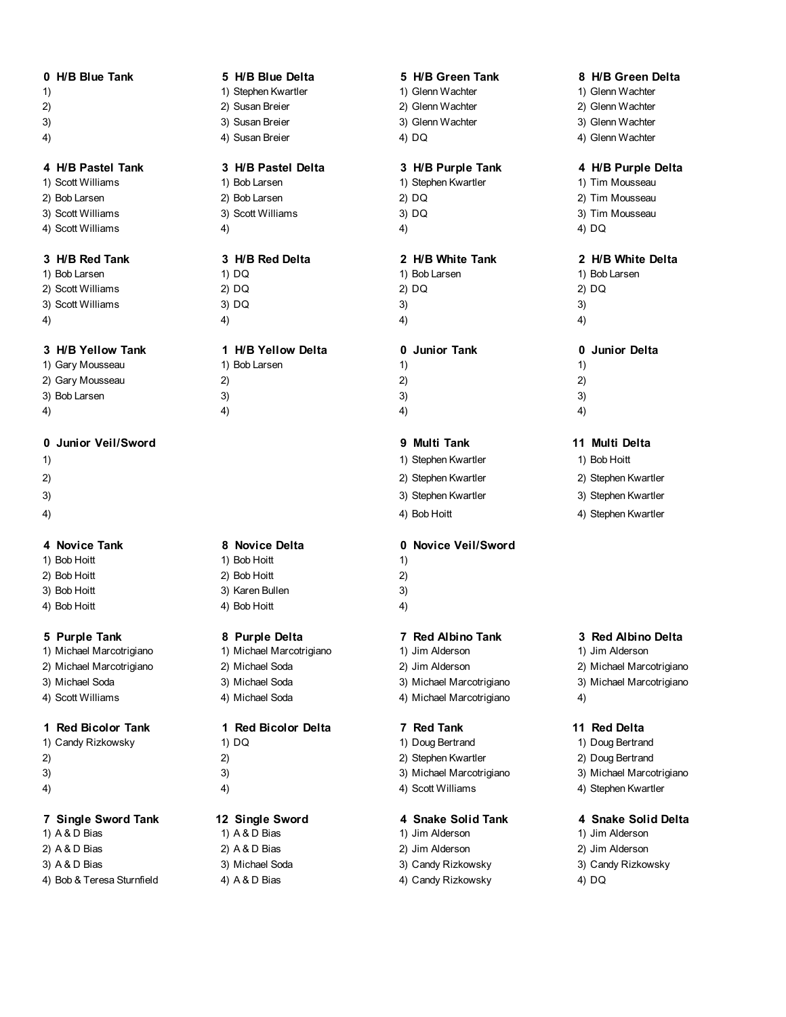|               | 0 H/B Blue Tan |  |
|---------------|----------------|--|
| $\rightarrow$ |                |  |

- 
- 
- 
- 

2) Bob Larsen 2) Bob Larsen 2) DQ 2) Tim Mousseau 3) Scott Williams 3) Scott Williams 3) DQ 3) Tim Mousseau

4) Scott Williams 4) 4) 4) DQ

1) Bob Larsen 1) DQ 1) Bob Larsen 1) Bob Larsen 2) Scott Williams 2) DQ 2) DQ 2) DQ 3) Scott Williams 3) DQ 3) 3) 3) 3

# **3 H/B Yellow Tank 1 H/B Yellow Delta 0 Junior Tank 0 Junior Delta**

## **0 Junior Veil/Sword 9 Multi Tank 11 Multi Delta**

- 
- 
- 
- 

- 
- 
- 
- 

- 1) Michael Marcotrigiano 1) Michael Marcotrigiano 1) Jim Alderson 1) Jim Alderson
- 
- 
- 4) Scott Williams 4) Michael Soda 4) Michael Marcotrigiano 4)

## **1 Red Bicolor Tank 1 Red Bicolor Delta 7 Red Tank 11 Red Delta**

1) Candy Rizkowsky 1982 1) DQ 1) Doug Bertrand 1) Doug Bertrand 1) Doug Bertrand

- 
- 

# **7 Single Sword Tank 12 Single Sword 4 Snake Solid Tank 4 Snake Solid Delta**

1) A & D Bias 1) A & D Bias 1) Jim Alderson 1) Jim Alderson 2) A & D Bias 2) A & D Bias 2) Jim Alderson 2) Jim Alderson 3) A & D Bias 3) South A 3) Michael Soda 3) Candy Rizkowsky 3, Candy Rizkowsky 3) Candy Rizkowsky 4) Bob & Teresa Sturnfield 4) A & D Bias 4) A 4 and 4) Candy Rizkowsky 4) DQ

|     | 1) Bob Larsen |
|-----|---------------|
| 2)  |               |
| 3)  |               |
| 1 \ |               |

1) Bob Hoitt 1) Bob Hoitt 1 2) Bob Hoitt 2) Bob Hoitt 2) 3) Bob Hoitt 3) Karen Bullen 3 4) Bob Hoitt 4) Bob Hoitt 4

2) Michael Marcotrigiano 2) Michael Soda 2) Jim Alderson 2) Michael Marcotrigiano 3) Michael Soda 3) Michael Soda 3) Michael Marcotrigiano 3) Michael Marcotrigiano

- 
- 

# 1) 1) Stephen Kwartler 1) Glenn Wachter 1) Glenn Wachter 2) 2) Susan Breier 2) Glenn Wachter 2) Glenn Wachter 3) 3) Susan Breier 3) Glenn Wachter 3) Glenn Wachter

| 1) Bob Larsen     | 1) DQ   | 1) Bob Larsen | $\overline{1}$ |
|-------------------|---------|---------------|----------------|
| 2) Scott Williams | $2)$ DQ | $2)$ DQ       | 2)             |
| 3) Scott Williams | $3)$ DQ | 3)            | 3)             |
| 4)                | 4)      | 4)            | 4)             |

| 1) Gary Mousseau | 1) Bob Larsen |    |    |
|------------------|---------------|----|----|
| 2) Gary Mousseau | ∠             | 2) | 2) |
| 3) Bob Larsen    | 3)            |    | 3) |
| 4)               | 41            | 4  | 4) |

- 1) 1) Stephen Kwartler 1) Bob Hoitt
	-
- 4) 49 Sob Hoitt 40 Stephen Kwartler

# **4 Novice Tank 8 Novice Delta 0 Novice Veil/Sword**

- 
- 

# **5 Purple Tank 8 Purple Delta 7 Red Albino Tank 3 Red Albino Delta**

- 
- 
- 

- 
- 2) 2) 2) Stephen Kwartler 2) Doug Bertrand
- 3) 3) 3) Michael Marcotrigiano 3) Michael Marcotrigiano
- 4) 49 (4) 4) 4) 4) 4) 4) 4) Scott Williams 4) 4) Stephen Kwartler

- 
- 
- 
- 

# **0 H/B Blue Tank 5 H/B Blue Delta 5 H/B Green Tank 8 H/B Green Delta**

- 
- 
- 
- 4) 3usan Breier 4) DQ 4) Glenn Wachter 4) DQ

## **4 H/B Pastel Tank 3 H/B Pastel Delta 3 H/B Purple Tank 4 H/B Purple Delta**

- 1) Scott Williams 1) Bob Larsen 19 and 1) Stephen Kwartler 19 and 1) Tim Mousseau
	-
	-

# **3 H/B Red Tank 3 H/B Red Delta 2 H/B White Tank 2 H/B White Delta**

- 
- 
- 

- 
- 
- 

- 
- 2) 2) Stephen Kwartler 2) Stephen Kwartler
- 3) 3) Stephen Kwartler 3) Stephen Kwartler